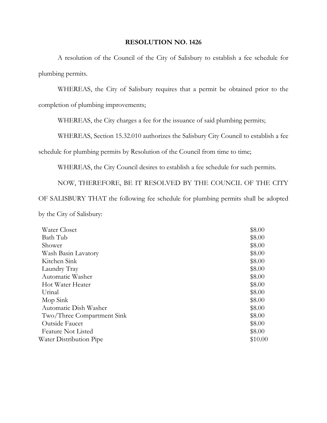## **RESOLUTION NO. 1426**

 A resolution of the Council of the City of Salisbury to establish a fee schedule for plumbing permits.

 WHEREAS, the City of Salisbury requires that a permit be obtained prior to the completion of plumbing improvements;

WHEREAS, the City charges a fee for the issuance of said plumbing permits;

WHEREAS, Section 15.32.010 authorizes the Salisbury City Council to establish a fee

schedule for plumbing permits by Resolution of the Council from time to time;

WHEREAS, the City Council desires to establish a fee schedule for such permits.

 NOW, THEREFORE, BE IT RESOLVED BY THE COUNCIL OF THE CITY OF SALISBURY THAT the following fee schedule for plumbing permits shall be adopted by the City of Salisbury:

| Water Closet               | \$8.00  |
|----------------------------|---------|
| Bath Tub                   | \$8.00  |
| Shower                     | \$8.00  |
| Wash Basin Lavatory        | \$8.00  |
| Kitchen Sink               | \$8.00  |
| Laundry Tray               | \$8.00  |
| Automatic Washer           | \$8.00  |
| Hot Water Heater           | \$8.00  |
| Urinal                     | \$8.00  |
| Mop Sink                   | \$8.00  |
| Automatic Dish Washer      | \$8.00  |
| Two/Three Compartment Sink | \$8.00  |
| Outside Faucet             | \$8.00  |
| <b>Feature Not Listed</b>  | \$8.00  |
| Water Distribution Pipe    | \$10.00 |
|                            |         |